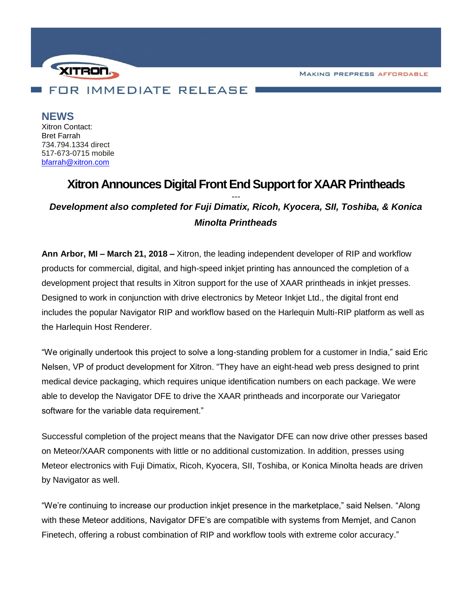**MAKING PREPRESS AFFORDABLE** 



**NEWS** Xitron Contact: Bret Farrah 734.794.1334 direct 517-673-0715 mobile [bfarrah@xitron.com](mailto:bfarrah@xitron.com)

# **Xitron Announces Digital Front End Support for XAAR Printheads** *--- Development also completed for Fuji Dimatix, Ricoh, Kyocera, SII, Toshiba, & Konica*

*Minolta Printheads*

**Ann Arbor, MI – March 21, 2018 –** Xitron, the leading independent developer of RIP and workflow products for commercial, digital, and high-speed inkjet printing has announced the completion of a development project that results in Xitron support for the use of XAAR printheads in inkjet presses. Designed to work in conjunction with drive electronics by Meteor Inkjet Ltd., the digital front end includes the popular Navigator RIP and workflow based on the Harlequin Multi-RIP platform as well as the Harlequin Host Renderer.

"We originally undertook this project to solve a long-standing problem for a customer in India," said Eric Nelsen, VP of product development for Xitron. "They have an eight-head web press designed to print medical device packaging, which requires unique identification numbers on each package. We were able to develop the Navigator DFE to drive the XAAR printheads and incorporate our Variegator software for the variable data requirement."

Successful completion of the project means that the Navigator DFE can now drive other presses based on Meteor/XAAR components with little or no additional customization. In addition, presses using Meteor electronics with Fuji Dimatix, Ricoh, Kyocera, SII, Toshiba, or Konica Minolta heads are driven by Navigator as well.

"We're continuing to increase our production inkjet presence in the marketplace," said Nelsen. "Along with these Meteor additions, Navigator DFE's are compatible with systems from Memjet, and Canon Finetech, offering a robust combination of RIP and workflow tools with extreme color accuracy."